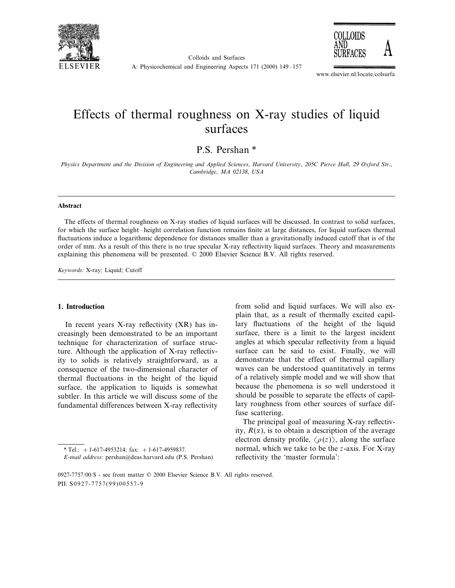

Colloids and Surfaces



A: Physicochemical and Engineering Aspects 171 (2000) 149–157

www.elsevier.nl/locate/colsurfa

# Effects of thermal roughness on X-ray studies of liquid surfaces

P.S. Pershan \*

*Physics Department and the Division of Engineering and Applied Sciences, Harvard University, 205C Pierce Hall, 29 Oxford Str., Cambridge*, *MA* 02138, *USA*

#### **Abstract**

The effects of thermal roughness on X-ray studies of liquid surfaces will be discussed. In contrast to solid surfaces, for which the surface height–height correlation function remains finite at large distances, for liquid surfaces thermal fluctuations induce a logarithmic dependence for distances smaller than a gravitationally induced cutoff that is of the order of mm. As a result of this there is no true specular X-ray reflectivity liquid surfaces. Theory and measurements explaining this phenomena will be presented. © 2000 Elsevier Science B.V. All rights reserved.

*Keywords*: X-ray; Liquid; Cutoff

# **1. Introduction**

In recent years X-ray reflectivity (XR) has increasingly been demonstrated to be an important technique for characterization of surface structure. Although the application of X-ray reflectivity to solids is relatively straightforward, as a consequence of the two-dimensional character of thermal fluctuations in the height of the liquid surface, the application to liquids is somewhat subtler. In this article we will discuss some of the fundamental differences between X-ray reflectivity

from solid and liquid surfaces. We will also explain that, as a result of thermally excited capillary fluctuations of the height of the liquid surface, there is a limit to the largest incident angles at which specular reflectivity from a liquid surface can be said to exist. Finally, we will demonstrate that the effect of thermal capillary waves can be understood quantitatively in terms of a relatively simple model and we will show that because the phenomena is so well understood it should be possible to separate the effects of capillary roughness from other sources of surface diffuse scattering.

The principal goal of measuring X-ray reflectivity,  $R(\alpha)$ , is to obtain a description of the average electron density profile,  $\langle \rho(z) \rangle$ , along the surface normal, which we take to be the *z*-axis. For X-ray reflectivity the 'master formula':

 $*$  Tel.: +1-617-4953214; fax: +1-617-4959837.

*E*-*mail address*: pershan@deas.harvard.edu (P.S. Pershan)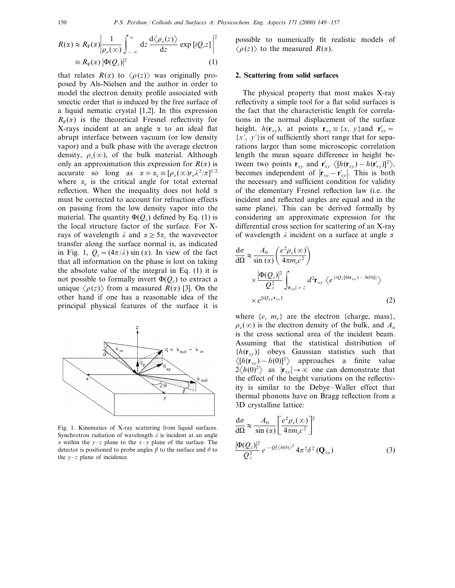$$
R(\alpha) \approx R_{\rm F}(\alpha) \left| \frac{1}{\rho_e(\infty)} \int_{-\infty}^{\infty} dz \frac{d \langle \rho_e(z) \rangle}{dz} \exp \left[ iQ_z z \right] \right|^2
$$
  

$$
\equiv R_{\rm F}(\alpha) |\Phi(Q_z)|^2 \tag{1}
$$

that relates  $R(\alpha)$  to  $\langle \rho(z) \rangle$  was originally proposed by Als-Nielsen and the author in order to model the electron density profile associated with smectic order that is induced by the free surface of a liquid nematic crystal [1,2]. In this expression  $R_F(\alpha)$  is the theoretical Fresnel reflectivity for X-rays incident at an angle  $\alpha$  to an ideal flat abrupt interface between vacuum (or low density vapor) and a bulk phase with the average electron density,  $\rho_c(\infty)$ , of the bulk material. Although only an approximation this expression for  $R(\alpha)$  is accurate so long as  $\alpha \gg \alpha_c \equiv [\rho_e(\infty) r_e \lambda^2/\pi]^{1/2}$ where  $\alpha_c$  is the critical angle for total external reflection. When the inequality does not hold  $\alpha$ must be corrected to account for refraction effects on passing from the low density vapor into the material. The quantity  $\Phi(Q_z)$  defined by Eq. (1) is the local structure factor of the surface. For Xrays of wavelength  $\lambda$  and  $\alpha \geq 5\alpha_c$  the wavevector transfer along the surface normal is, as indicated in Fig. 1,  $Q_z = (4\pi/\lambda) \sin(\alpha)$ . In view of the fact that all information on the phase is lost on taking the absolute value of the integral in Eq. (1) it is not possible to formally invert  $\Phi(Q_z)$  to extract a unique  $\langle \rho(z) \rangle$  from a measured *R*( $\alpha$ ) [3]. On the other hand if one has a reasonable idea of the principal physical features of the surface it is



Fig. 1. Kinematics of X-ray scattering from liquid surfaces. Synchrotron radiation of wavelength  $\lambda$  is incident at an angle  $\alpha$  within the *y*–*z* plane to the *x*–*y* plane of the surface. The detector is positioned to probe angles  $\beta$  to the surface and  $\theta$  to the  $y-z$  plane of incidence.

## **2. Scattering from solid surfaces**

The physical property that most makes X-ray reflectivity a simple tool for a flat solid surfaces is the fact that the characteristic length for correlations in the normal displacement of the surface height,  $h(\mathbf{r}_{xy})$ , at points  $\mathbf{r}_{xy} \equiv \{x, y\}$  and  $\mathbf{r}'_{xy} =$  ${x', y'}$  is of sufficiently short range that for separations larger than some microscopic correlation length the mean square difference in height between two points  $\mathbf{r}_{xy}$  and  $\mathbf{r}'_{xy}$   $\langle [h(\mathbf{r}_{xy}) - h(\mathbf{r}'_{xy})]^2 \rangle$ , becomes independent of  $|\mathbf{r}_{xy} - \mathbf{r}'_{xy}|$ . This is both the necessary and sufficient condition for validity of the elementary Fresnel reflection law (i.e. the incident and reflected angles are equal and in the same plane). This can be derived formally by considering an approximate expression for the differential cross section for scattering of an X-ray of wavelength  $\lambda$  incident on a surface at angle  $\alpha$ 

$$
\frac{d\sigma}{d\Omega} \approx \frac{A_0}{\sin(\alpha)} \left( \frac{e^2 \rho_e(\infty)}{4\pi m_e c^2} \right)
$$
  
 
$$
\times \frac{|\Phi(Q_z)|^2}{Q_z^2} \int_{|\mathbf{r}_{xy}| > \xi} d^2 \mathbf{r}_{xy} \langle e^{i Q_z [h(\mathbf{r}_{xy}) - h(0)]} \rangle
$$
  
 
$$
\times e^{i Q_{xy} \mathbf{r}_{xy}}
$$
 (2)

where  $\{e, m_e\}$  are the electron  $\{\text{charge, mass}\},\$  $\rho_e(\infty)$  is the electron density of the bulk, and  $A_0$ is the cross sectional area of the incident beam. Assuming that the statistical distribution of  ${h(\mathbf{r}_{xy})}$  obeys Gaussian statistics such that  $\langle [h(\mathbf{r}_{xy}) - h(0)]^2 \rangle$  approaches a finite value  $2\langle h(0)^2 \rangle$  as  $|\mathbf{r}_{xy}| \to \infty$  one can demonstrate that the effect of the height variations on the reflectivity is similar to the Debye–Waller effect that thermal phonons have on Bragg reflection from a 3D crystalline lattice:

$$
\frac{d\sigma}{d\Omega} \approx \frac{A_0}{\sin(\alpha)} \left[ \frac{e^2 \rho_e(\infty)}{4\pi m_e c^2} \right]^2
$$
  

$$
\frac{|\Phi(Q_z)|^2}{Q_z^2} e^{-Q_z^2 \langle h(0) \rangle^2} 4\pi^2 \delta^2 (\mathbf{Q}_{xy})
$$
 (3)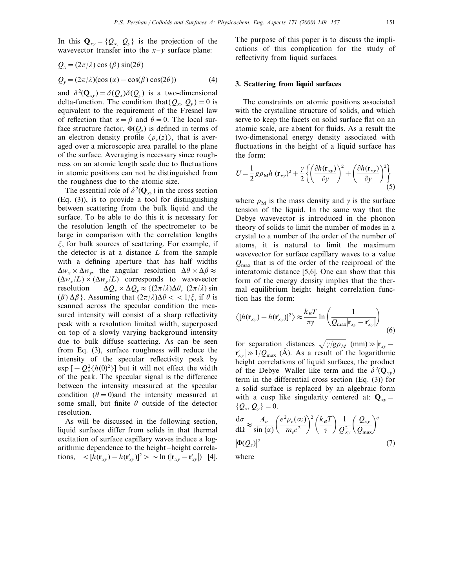In this  $\mathbf{Q}_{xy} = \{Q_x, Q_y\}$  is the projection of the wavevector transfer into the  $x-y$  surface plane:

$$
Q_x = (2\pi/\lambda)\cos(\beta)\sin(2\theta)
$$
  
\n
$$
Q_y = (2\pi/\lambda)(\cos(\alpha) - \cos(\beta)\cos(2\theta))
$$
\n(4)

and  $\delta^2(\mathbf{Q}_{xy}) = \delta(Q_x)\delta(Q_y)$  is a two-dimensional delta-function. The condition that  $\{Q_x, Q_y\} = 0$  is equivalent to the requirement of the Fresnel law of reflection that  $\alpha = \beta$  and  $\theta = 0$ . The local surface structure factor,  $\Phi(Q_z)$  is defined in terms of an electron density profile  $\langle \rho_e(z) \rangle$ , that is averaged over a microscopic area parallel to the plane of the surface. Averaging is necessary since roughness on an atomic length scale due to fluctuations in atomic positions can not be distinguished from the roughness due to the atomic size.

The essential role of  $\delta^2(\mathbf{Q}_{xy})$  in the cross section (Eq. (3)), is to provide a tool for distinguishing between scattering from the bulk liquid and the surface. To be able to do this it is necessary for the resolution length of the spectrometer to be large in comparison with the correlation lengths  $\xi$ , for bulk sources of scattering. For example, if the detector is at a distance *L* from the sample with a defining aperture that has half widths  $\Delta w_x \times \Delta w_y$ , the angular resolution  $\Delta \theta \times \Delta \beta \approx$  $(\Delta w_x/L) \times (\Delta w_y/L)$  corresponds to wavevector resolution  $\Delta Q_x \times \Delta Q_y \approx \{(2\pi/\lambda)\Delta\theta, (2\pi/\lambda)\sin\theta\}$  $(\beta) \Delta \beta$ . Assuming that  $(2\pi/\lambda)\Delta \theta < 1/\xi$ , if  $\theta$  is scanned across the specular condition the measured intensity will consist of a sharp reflectivity peak with a resolution limited width, superposed on top of a slowly varying background intensity due to bulk diffuse scattering. As can be seen from Eq. (3), surface roughness will reduce the intensity of the specular reflectivity peak by  $\exp[-Q_z^2 \langle h(0)^2 \rangle]$  but it will not effect the width of the peak. The specular signal is the difference between the intensity measured at the specular condition  $(\theta = 0)$  and the intensity measured at some small, but finite  $\theta$  outside of the detector resolution.

As will be discussed in the following section, liquid surfaces differ from solids in that thermal excitation of surface capillary waves induce a logarithmic dependence to the height–height correlations,  $\langle h(\mathbf{r}_{xy}) - h(\mathbf{r}'_{xy})|^2 > \sim \ln(|\mathbf{r}_{xy} - \mathbf{r}'_{xy}|)$  [4].

The purpose of this paper is to discuss the implications of this complication for the study of reflectivity from liquid surfaces.

# **3. Scattering from liquid surfaces**

The constraints on atomic positions associated with the crystalline structure of solids, and which serve to keep the facets on solid surface flat on an atomic scale, are absent for fluids. As a result the two-dimensional energy density associated with fluctuations in the height of a liquid surface has the form:

$$
U = \frac{1}{2} g \rho_M h \left( \mathbf{r}_{xy} \right)^2 + \frac{\gamma}{2} \left\{ \left( \frac{\partial h(\mathbf{r}_{xy})}{\partial y} \right)^2 + \left( \frac{\partial h(\mathbf{r}_{xy})}{\partial y} \right)^2 \right\}
$$
(5)

where  $\rho_M$  is the mass density and  $\gamma$  is the surface tension of the liquid. In the same way that the Debye wavevector is introduced in the phonon theory of solids to limit the number of modes in a crystal to a number of the order of the number of atoms, it is natural to limit the maximum wavevector for surface capillary waves to a value *Q*max that is of the order of the reciprocal of the interatomic distance [5,6]. One can show that this form of the energy density implies that the thermal equilibrium height–height correlation function has the form:

$$
\langle [h(\mathbf{r}_{xy}) - h(\mathbf{r}'_{xy})]^2 \rangle \approx \frac{k_B T}{\pi \gamma} \ln \left( \frac{1}{Q_{\text{max}} |\mathbf{r}_{xy} - \mathbf{r}'_{xy}|} \right) \tag{6}
$$

for separation distances  $\sqrt{\gamma/g\rho_M}$  (mm)  $\gg$   $\mathbf{r}_{xy}$  –  $\mathbf{r}'_{xy} \geq 1/Q_{\text{max}}$  (Å). As a result of the logarithmic height correlations of liquid surfaces, the product of the Debye–Waller like term and the  $\delta^2(\mathbf{Q}_{xy})$ term in the differential cross section (Eq. (3)) for a solid surface is replaced by an algebraic form with a cusp like singularity centered at:  $Q_{xy} =$  ${Q_x, Q_y} = 0.$ 

$$
\frac{d\sigma}{d\Omega} \approx \frac{A_o}{\sin(\alpha)} \left(\frac{e^2 \rho_e(\infty)}{m_e c^2}\right)^2 \left(\frac{k_B T}{\gamma}\right) \frac{1}{Q_{xy}^2} \left(\frac{Q_{xy}}{Q_{\text{max}}}\right)^{\eta} \tag{7}
$$

where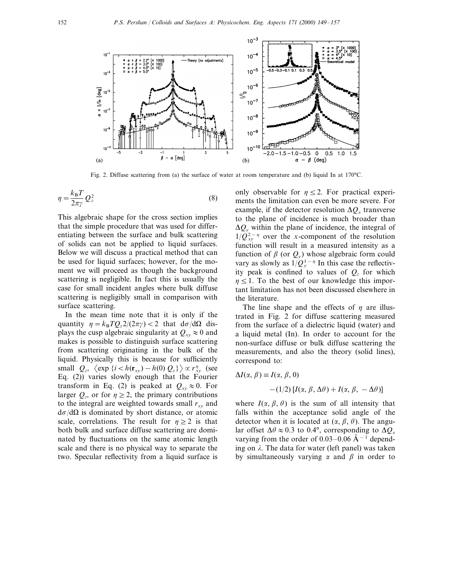

Fig. 2. Diffuse scattering from (a) the surface of water at room temperature and (b) liquid In at 170°C.

$$
\eta = \frac{k_{\rm B}T}{2\pi\gamma} Q_z^2 \tag{8}
$$

This algebraic shape for the cross section implies that the simple procedure that was used for differentiating between the surface and bulk scattering of solids can not be applied to liquid surfaces. Below we will discuss a practical method that can be used for liquid surfaces; however, for the moment we will proceed as though the background scattering is negligible. In fact this is usually the case for small incident angles where bulk diffuse scattering is negligibly small in comparison with surface scattering.

In the mean time note that it is only if the quantity  $\eta = k_B T Q_z^2/(2\pi\gamma) < 2$  that  $d\sigma/d\Omega$  displays the cusp algebraic singularity at  $Q_{xy} \approx 0$  and makes is possible to distinguish surface scattering from scattering originating in the bulk of the liquid. Physically this is because for sufficiently small  $Q_z$ ,  $\langle \exp\left\{i \langle h(r_{xy}) - h(0) Q_z\right\} \rangle \propto r_{xy}^{\eta}$  (see Eq. (2)) varies slowly enough that the Fourier transform in Eq. (2) is peaked at  $Q_{xy} \approx 0$ . For larger  $Q_z$ , or for  $\eta \geq 2$ , the primary contributions to the integral are weighted towards small  $r_{xy}$  and  $d\sigma/d\Omega$  is dominated by short distance, or atomic scale, correlations. The result for  $\eta \geq 2$  is that both bulk and surface diffuse scattering are dominated by fluctuations on the same atomic length scale and there is no physical way to separate the two. Specular reflectivity from a liquid surface is only observable for  $\eta \leq 2$ . For practical experiments the limitation can even be more severe. For example, if the detector resolution  $\Delta Q_x$  transverse to the plane of incidence is much broader than  $\Delta Q_v$  within the plane of incidence, the integral of  $1/\dot{Q}_{xy}^{2-\eta}$  over the *x*-component of the resolution function will result in a measured intensity as a function of  $\beta$  (or  $Q_v$ ) whose algebraic form could vary as slowly as  $1/Q_y^{1-\eta}$  In this case the reflectivity peak is confined to values of  $Q<sub>z</sub>$  for which  $n \leq 1$ . To the best of our knowledge this important limitation has not been discussed elsewhere in the literature.

The line shape and the effects of  $\eta$  are illustrated in Fig. 2 for diffuse scattering measured from the surface of a dielectric liquid (water) and a liquid metal (In). In order to account for the non-surface diffuse or bulk diffuse scattering the measurements, and also the theory (solid lines), correspond to:

$$
\Delta I(\alpha, \beta) \equiv I(\alpha, \beta, 0)
$$

$$
- (1/2) [I(\alpha, \beta, \Delta \theta) + I(\alpha, \beta, -\Delta \theta)]
$$

where  $I(\alpha, \beta, \theta)$  is the sum of all intensity that falls within the acceptance solid angle of the detector when it is located at  $(\alpha, \beta, \theta)$ . The angular offset  $\Delta\theta \approx 0.3$  to 0.4°, corresponding to  $\Delta Q_x$ varying from the order of 0.03–0.06  $\AA$ <sup>-1</sup> depending on  $\lambda$ . The data for water (left panel) was taken by simultaneously varying  $\alpha$  and  $\beta$  in order to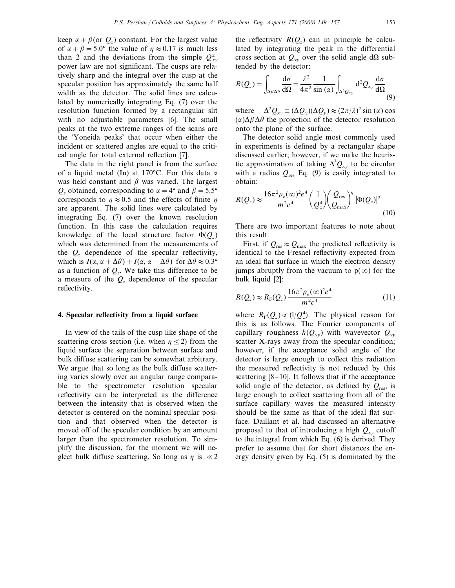keep  $\alpha + \beta$ (or  $Q_z$ ) constant. For the largest value of  $\alpha + \beta = 5.0^{\circ}$  the value of  $\eta \approx 0.17$  is much less than 2 and the deviations from the simple  $Q_{xy}^2$ power law are not significant. The cusps are relatively sharp and the integral over the cusp at the specular position has approximately the same half width as the detector. The solid lines are calculated by numerically integrating Eq. (7) over the resolution function formed by a rectangular slit with no adjustable parameters [6]. The small peaks at the two extreme ranges of the scans are the 'Yoneida peaks' that occur when either the incident or scattered angles are equal to the critical angle for total external reflection [7].

The data in the right panel is from the surface of a liquid metal (In) at 170 °C. For this data  $\alpha$ was held constant and  $\beta$  was varied. The largest  $Q_z$  obtained, corresponding to  $\alpha = 4^{\circ}$  and  $\beta = 5.5^{\circ}$ corresponds to  $\eta \approx 0.5$  and the effects of finite  $\eta$ are apparent. The solid lines were calculated by integrating Eq. (7) over the known resolution function. In this case the calculation requires knowledge of the local structure factor  $\Phi(Q_z)$ which was determined from the measurements of the  $Q<sub>z</sub>$  dependence of the specular reflectivity, which is  $I(\alpha, \alpha + \Delta\theta) + I(\alpha, \alpha - \Delta\theta)$  for  $\Delta\theta \approx 0.3^{\circ}$ as a function of  $Q_z$ . We take this difference to be a measure of the *Qz* dependence of the specular reflectivity.

#### **4. Specular reflectivity from a liquid surface**

In view of the tails of the cusp like shape of the scattering cross section (i.e. when  $n \leq 2$ ) from the liquid surface the separation between surface and bulk diffuse scattering can be somewhat arbitrary. We argue that so long as the bulk diffuse scattering varies slowly over an angular range comparable to the spectrometer resolution specular reflectivity can be interpreted as the difference between the intensity that is observed when the detector is centered on the nominal specular position and that observed when the detector is moved off of the specular condition by an amount larger than the spectrometer resolution. To simplify the discussion, for the moment we will neglect bulk diffuse scattering. So long as  $\eta$  is  $\ll 2$  the reflectivity  $R(Q_z)$  can in principle be calculated by integrating the peak in the differential cross section at  $Q_{xy}$  over the solid angle d $\Omega$  subtended by the detector:

$$
R(Q_z) = \int_{\Delta\beta\Delta\theta} \frac{d\sigma}{d\Omega} = \frac{\lambda^2}{4\pi^2} \frac{1}{\sin{(\alpha)}} \int_{\Delta^2 Q_{xy}} d^2 Q_{xy} \frac{d\sigma}{d\Omega}
$$
(9)

where  $Q_{xy} \equiv (\Delta Q_x)(\Delta Q_y) \approx (2\pi/\lambda)^2 \sin(\alpha) \cos(\alpha)$  $(\alpha)\Delta\beta\Delta\theta$  the projection of the detector resolution onto the plane of the surface.

The detector solid angle most commonly used in experiments is defined by a rectangular shape discussed earlier; however, if we make the heuristic approximation of taking  $\Delta^2 Q_{xy}$  to be circular with a radius  $Q_{res}$  Eq. (9) is easily integrated to obtain:

$$
R(Q_z) \approx \frac{16\pi^2 \rho_e(\infty)^2 e^4}{m^2 c^4} \left(\frac{1}{Q_z^4}\right) \left(\frac{Q_{\text{res}}}{Q_{\text{max}}}\right)^{\eta} |\Phi(Q_z)|^2
$$
\n(10)

There are two important features to note about this result.

First, if  $Q_{\text{res}} \approx Q_{\text{max}}$  the predicted reflectivity is identical to the Fresnel reflectivity expected from an ideal flat surface in which the electron density jumps abruptly from the vacuum to  $p(\infty)$  for the bulk liquid [2]:

$$
R(Q_z) \approx R_{\rm F}(Q_z) \frac{16\pi^2 \rho_e(\infty)^2 e^4}{m^2 c^4} \tag{11}
$$

where  $R_F(Q_z) \propto (1/Q_z^4)$ . The physical reason for this is as follows. The Fourier components of capillary roughness  $h(Q_{xy})$  with wavevector  $Q_{xy}$ scatter X-rays away from the specular condition; however, if the acceptance solid angle of the detector is large enough to collect this radiation the measured reflectivity is not reduced by this scattering  $[8-10]$ . It follows that if the acceptance solid angle of the detector, as defined by  $Q_{\text{res}}$ , is large enough to collect scattering from all of the surface capillary waves the measured intensity should be the same as that of the ideal flat surface. Daillant et al. had discussed an alternative proposal to that of introducing a high  $Q_{xy}$  cutoff to the integral from which Eq. (6) is derived. They prefer to assume that for short distances the energy density given by Eq. (5) is dominated by the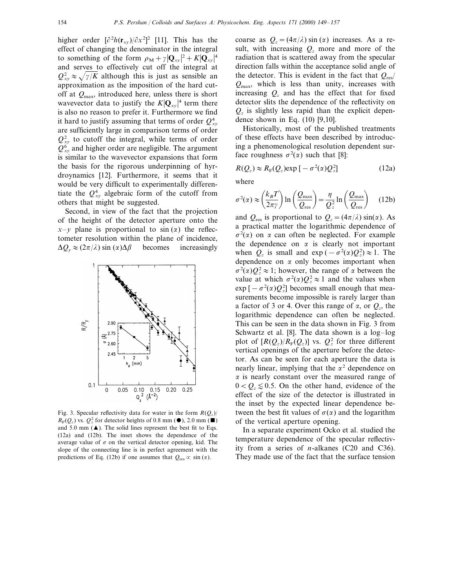higher order  $\left[\frac{\partial^2 h(\mathbf{r}_{xy})}{\partial x^2}\right]$  [11]. This has the effect of changing the denominator in the integral to something of the form  $\rho_M + \gamma |\mathbf{Q}_{xy}|^2 + K |\mathbf{Q}_{xy}|^4$ and serves to effectively cut off the integral at  $Q_{xy}^2 \approx \sqrt{\gamma/K}$  although this is just as sensible an approximation as the imposition of the hard cutoff at *Q*max, introduced here, unless there is short wavevector data to justify the  $K|{\bf Q}_{xy}|^4$  term there is also no reason to prefer it. Furthermore we find it hard to justify assuming that terms of order  $Q_{xy}^4$ are sufficiently large in comparison terms of order  $Q_{xy}^2$  to cutoff the integral, while terms of order  $Q_{xy}^6$  and higher order are negligible. The argument is similar to the wavevector expansions that form the basis for the rigorous underpinning of hyrdroynamics [12]. Furthermore, it seems that it would be very difficult to experimentally differentiate the  $Q_{xy}^4$  algebraic form of the cutoff from others that might be suggested.

Second, in view of the fact that the projection of the height of the detector aperture onto the  $x-y$  plane is proportional to  $\sin(\alpha)$  the reflectometer resolution within the plane of incidence,  $\Delta Q_v \approx (2\pi/\lambda) \sin{(\alpha)\Delta\beta}$  becomes increasingly



Fig. 3. Specular reflectivity data for water in the form  $R(Q_z)$ /  $R_{\rm F}(Q_z)$  vs.  $Q_z^2$  for detector heights of 0.8 mm ( $\bullet$ ), 2.0 mm ( $\blacksquare$ ) and 5.0 mm  $(\triangle)$ . The solid lines represent the best fit to Eqs. (12a) and (12b). The inset shows the dependence of the average value of  $\sigma$  on the vertical detector opening, kid. The slope of the connecting line is in perfect agreement with the predictions of Eq. (12b) if one assumes that  $Q_{res} \propto \sin(\alpha)$ .

coarse as  $Q_z = (4\pi/\lambda) \sin(\alpha)$  increases. As a result, with increasing  $Q_z$  more and more of the radiation that is scattered away from the specular direction falls within the acceptance solid angle of the detector. This is evident in the fact that  $Q_{\text{res}}/$ *Q*max, which is less than unity, increases with increasing  $Q<sub>z</sub>$  and has the effect that for fixed detector slits the dependence of the reflectivity on  $Q<sub>z</sub>$  is slightly less rapid than the explicit dependence shown in Eq.  $(10)$  [9,10].

Historically, most of the published treatments of these effects have been described by introducing a phenomenological resolution dependent surface roughness  $\sigma^2(\alpha)$  such that [8]:

$$
R(Q_z) \approx R_{\rm F}(Q_z) \exp\left[-\sigma^2(\alpha)Q_z^2\right]
$$
 (12a)

where

$$
\sigma^2(\alpha) \approx \left(\frac{k_B T}{2\pi \gamma}\right) \ln\left(\frac{Q_{\text{max}}}{Q_{\text{res}}}\right) = \frac{\eta}{Q_z^2} \ln\left(\frac{Q_{\text{max}}}{Q_{\text{res}}}\right) \quad (12b)
$$

and  $Q_{res}$  is proportional to  $Q_z = (4\pi/\lambda) \sin(\alpha)$ . As a practical matter the logarithmic dependence of  $\sigma^2(\alpha)$  on  $\alpha$  can often be neglected. For example the dependence on  $\alpha$  is clearly not important when  $Q_z$  is small and exp ( $-\sigma^2(\alpha)Q_z^2 \approx 1$ . The dependence on  $\alpha$  only becomes important when  $\sigma^2(\alpha)Q_z^2 \approx 1$ ; however, the range of  $\alpha$  between the value at which  $\sigma^2(\alpha)Q_z^2 \approx 1$  and the values when  $\exp[-\sigma^2(\alpha)Q_z^2]$  becomes small enough that measurements become impossible is rarely larger than a factor of 3 or 4. Over this range of  $\alpha$ , or  $Q_z$ , the logarithmic dependence can often be neglected. This can be seen in the data shown in Fig. 3 from Schwartz et al. [8]. The data shown is a log–log plot of  $[R(Q_z)/R_F(Q_z)]$  vs.  $Q_z^2$  for three different vertical openings of the aperture before the detector. As can be seen for each aperture the data is nearly linear, implying that the  $\alpha^2$  dependence on  $\alpha$  is nearly constant over the measured range of  $0 < Q_z \lesssim 0.5$ . On the other hand, evidence of the effect of the size of the detector is illustrated in the inset by the expected linear dependence between the best fit values of  $\sigma(\alpha)$  and the logarithm of the vertical aperture opening.

In a separate experiment Ocko et al. studied the temperature dependence of the specular reflectivity from a series of *n*-alkanes (C20 and C36). They made use of the fact that the surface tension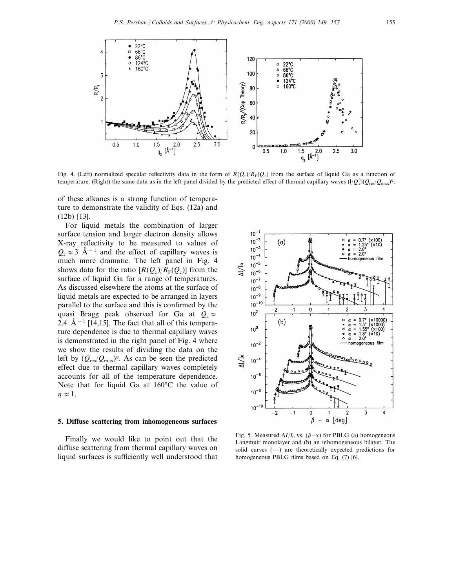

Fig. 4. (Left) normalized specular reflectivity data in the form of  $R(Q_z)/R_F(Q_z)$  from the surface of liquid Ga as a function of temperature. (Right) the same data as in the left panel divided by the predicted effect of thermal capillary waves  $(1/Q_z^2)(Q_{res}/Q_{max})^n$ .

of these alkanes is a strong function of temperature to demonstrate the validity of Eqs. (12a) and (12b) [13].

For liquid metals the combination of larger surface tension and larger electron density allows X-ray reflectivity to be measured to values of  $Q_z \approx 3$  Å<sup>-1</sup> and the effect of capillary waves is much more dramatic. The left panel in Fig. 4 shows data for the ratio  $[R(Q_z)/R_F(Q_z)]$  from the surface of liquid Ga for a range of temperatures. As discussed elsewhere the atoms at the surface of liquid metals are expected to be arranged in layers parallel to the surface and this is confirmed by the quasi Bragg peak observed for Ga at  $Q_z \approx$ 2.4  $\rm \AA^{-1}$  [14,15]. The fact that all of this temperature dependence is due to thermal capillary waves is demonstrated in the right panel of Fig. 4 where we show the results of dividing the data on the left by  $(Q_{\text{res}}/Q_{\text{max}})^n$ . As can be seen the predicted effect due to thermal capillary waves completely accounts for all of the temperature dependence. Note that for liquid Ga at 160°C the value of  $\eta \approx 1$ .

## **5. Diffuse scattering from inhomogeneous surfaces**

Finally we would like to point out that the diffuse scattering from thermal capillary waves on liquid surfaces is sufficiently well understood that



Fig. 5. Measured  $\Delta I/I_0$  vs. ( $\beta - \alpha$ ) for PBLG (a) homogeneous Langmuir monolayer and (b) an inhomogeneous bilayer. The solid curves (—) are theoretically expected predictions for homogeneous PBLG films based on Eq. (7) [6].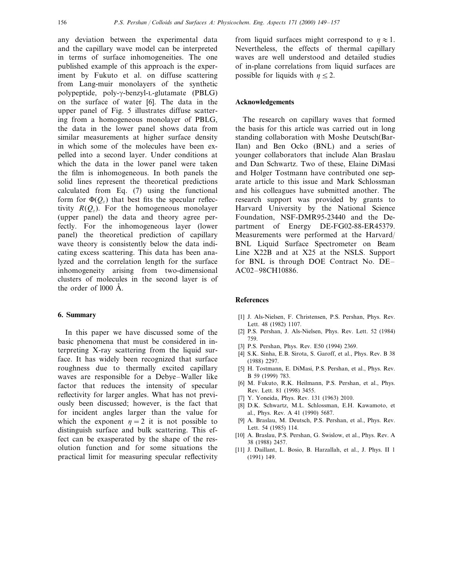any deviation between the experimental data and the capillary wave model can be interpreted in terms of surface inhomogeneities. The one published example of this approach is the experiment by Fukuto et al. on diffuse scattering from Lang-muir monolayers of the synthetic polypeptide, poly- $\gamma$ -benzyl-L-glutamate (PBLG) on the surface of water [6]. The data in the upper panel of Fig. 5 illustrates diffuse scattering from a homogeneous monolayer of PBLG, the data in the lower panel shows data from similar measurements at higher surface density in which some of the molecules have been expelled into a second layer. Under conditions at which the data in the lower panel were taken the film is inhomogeneous. In both panels the solid lines represent the theoretical predictions calculated from Eq. (7) using the functional form for  $\Phi(Q_z)$  that best fits the specular reflectivity  $R(O<sub>z</sub>)$ . For the homogeneous monolayer (upper panel) the data and theory agree perfectly. For the inhomogeneous layer (lower panel) the theoretical prediction of capillary wave theory is consistently below the data indicating excess scattering. This data has been analyzed and the correlation length for the surface inhomogeneity arising from two-dimensional clusters of molecules in the second layer is of the order of  $1000 \text{ Å}$ .

# **6. Summary**

In this paper we have discussed some of the basic phenomena that must be considered in interpreting X-ray scattering from the liquid surface. It has widely been recognized that surface roughness due to thermally excited capillary waves are responsible for a Debye–Waller like factor that reduces the intensity of specular reflectivity for larger angles. What has not previously been discussed; however, is the fact that for incident angles larger than the value for which the exponent  $n=2$  it is not possible to distinguish surface and bulk scattering. This effect can be exasperated by the shape of the resolution function and for some situations the practical limit for measuring specular reflectivity from liquid surfaces might correspond to  $\eta \approx 1$ . Nevertheless, the effects of thermal capillary waves are well understood and detailed studies of in-plane correlations from liquid surfaces are possible for liquids with  $\eta \leq 2$ .

# **Acknowledgements**

The research on capillary waves that formed the basis for this article was carried out in long standing collaboration with Moshe Deutsch(Bar-Ilan) and Ben Ocko (BNL) and a series of younger collaborators that include Alan Braslau and Dan Schwartz. Two of these, Elaine DiMasi and Holger Tostmann have contributed one separate article to this issue and Mark Schlossman and his colleagues have submitted another. The research support was provided by grants to Harvard University by the National Science Foundation, NSF-DMR95-23440 and the Department of Energy DE-FG02-88-ER45379. Measurements were performed at the Harvard/ BNL Liquid Surface Spectrometer on Beam Line X22B and at X25 at the NSLS. Support for BNL is through DOE Contract No. DE– AC02–98CH10886.

# **References**

- [1] J. Als-Nielsen, F. Christensen, P.S. Pershan, Phys. Rev. Lett. 48 (1982) 1107.
- [2] P.S. Pershan, J. Als-Nielsen, Phys. Rev. Lett. 52 (1984) 759.
- [3] P.S. Pershan, Phys. Rev. E50 (1994) 2369.
- [4] S.K. Sinha, E.B. Sirota, S. Garoff, et al., Phys. Rev. B 38 (1988) 2297.
- [5] H. Tostmann, E. DiMasi, P.S. Pershan, et al., Phys. Rev. B 59 (1999) 783.
- [6] M. Fukuto, R.K. Heilmann, P.S. Pershan, et al., Phys. Rev. Lett. 81 (1998) 3455.
- [7] Y. Yoneida, Phys. Rev. 131 (1963) 2010.
- [8] D.K. Schwartz, M.L. Schlossman, E.H. Kawamoto, et al., Phys. Rev. A 41 (1990) 5687.
- [9] A. Braslau, M. Deutsch, P.S. Pershan, et al., Phys. Rev. Lett. 54 (1985) 114.
- [10] A. Braslau, P.S. Pershan, G. Swislow, et al., Phys. Rev. A 38 (1988) 2457.
- [11] J. Daillant, L. Bosio, B. Harzallah, et al., J. Phys. II 1 . (1991) 149.